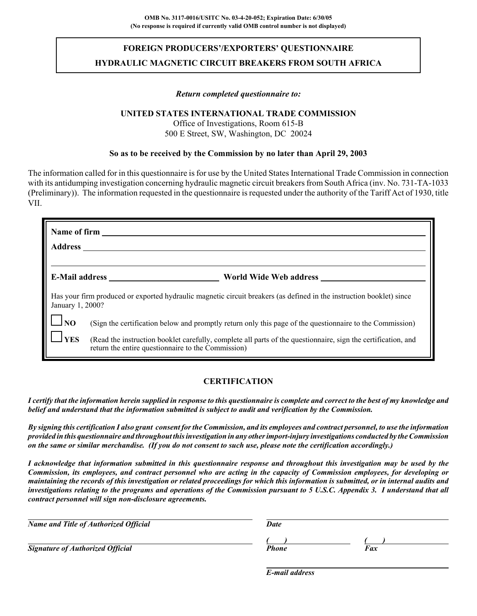# **FOREIGN PRODUCERS'/EXPORTERS' QUESTIONNAIRE HYDRAULIC MAGNETIC CIRCUIT BREAKERS FROM SOUTH AFRICA**

#### *Return completed questionnaire to:*

### **UNITED STATES INTERNATIONAL TRADE COMMISSION**

Office of Investigations, Room 615-B 500 E Street, SW, Washington, DC 20024

#### **So as to be received by the Commission by no later than April 29, 2003**

The information called for in this questionnaire is for use by the United States International Trade Commission in connection with its antidumping investigation concerning hydraulic magnetic circuit breakers from South Africa (inv. No. 731-TA-1033 (Preliminary)). The information requested in the questionnaire is requested under the authority of the Tariff Act of 1930, title VII.

| Name of firm<br><b>Address</b> |                                                                                                                                                                     |  |  |  |  |
|--------------------------------|---------------------------------------------------------------------------------------------------------------------------------------------------------------------|--|--|--|--|
| <b>E-Mail address</b>          | World Wide Web address                                                                                                                                              |  |  |  |  |
| January 1, 2000?               | Has your firm produced or exported hydraulic magnetic circuit breakers (as defined in the instruction booklet) since                                                |  |  |  |  |
| N <sub>O</sub>                 | (Sign the certification below and promptly return only this page of the questionnaire to the Commission)                                                            |  |  |  |  |
| <b>YES</b>                     | (Read the instruction booklet carefully, complete all parts of the questionnaire, sign the certification, and<br>return the entire questionnaire to the Commission) |  |  |  |  |

# **CERTIFICATION**

*I certify that the information herein supplied in response to this questionnaire is complete and correct to the best of my knowledge and belief and understand that the information submitted is subject to audit and verification by the Commission.*

*By signing this certification I also grant consent for the Commission, and its employees and contract personnel, to use the information provided in this questionnaire and throughout this investigation in any other import-injury investigations conducted by the Commission on the same or similar merchandise. (If you do not consent to such use, please note the certification accordingly.)*

*I acknowledge that information submitted in this questionnaire response and throughout this investigation may be used by the Commission, its employees, and contract personnel who are acting in the capacity of Commission employees, for developing or maintaining the records of this investigation or related proceedings for which this information is submitted, or in internal audits and investigations relating to the programs and operations of the Commission pursuant to 5 U.S.C. Appendix 3. I understand that all contract personnel will sign non-disclosure agreements.*

| <b>Name and Title of Authorized Official</b> | Date  |     |  |  |
|----------------------------------------------|-------|-----|--|--|
|                                              |       |     |  |  |
| <b>Signature of Authorized Official</b>      | Phone | Fax |  |  |

*E-mail address*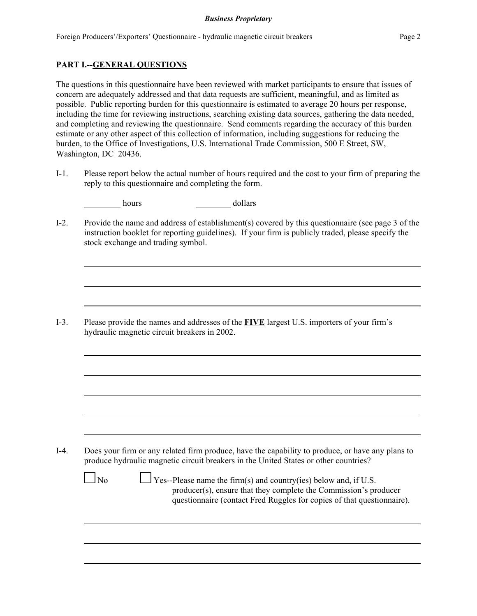### **PART I.--GENERAL QUESTIONS**

The questions in this questionnaire have been reviewed with market participants to ensure that issues of concern are adequately addressed and that data requests are sufficient, meaningful, and as limited as possible. Public reporting burden for this questionnaire is estimated to average 20 hours per response, including the time for reviewing instructions, searching existing data sources, gathering the data needed, and completing and reviewing the questionnaire. Send comments regarding the accuracy of this burden estimate or any other aspect of this collection of information, including suggestions for reducing the burden, to the Office of Investigations, U.S. International Trade Commission, 500 E Street, SW, Washington, DC 20436.

I-1. Please report below the actual number of hours required and the cost to your firm of preparing the reply to this questionnaire and completing the form.

| hours | dollars |
|-------|---------|
|       |         |

I-2. Provide the name and address of establishment(s) covered by this questionnaire (see page 3 of the instruction booklet for reporting guidelines). If your firm is publicly traded, please specify the stock exchange and trading symbol.

I-3. Please provide the names and addresses of the **FIVE** largest U.S. importers of your firm's hydraulic magnetic circuit breakers in 2002.

I-4. Does your firm or any related firm produce, have the capability to produce, or have any plans to produce hydraulic magnetic circuit breakers in the United States or other countries?

 $\Box$  No  $\Box$  Yes--Please name the firm(s) and country(ies) below and, if U.S. producer(s), ensure that they complete the Commission's producer questionnaire (contact Fred Ruggles for copies of that questionnaire).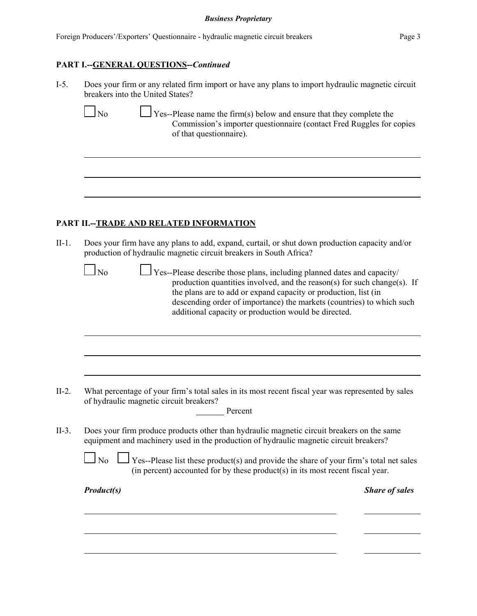#### *Business Proprietary*

|  |  |  | Foreign Producers'/Exporters' Questionnaire - hydraulic magnetic circuit breakers | Page 3 |
|--|--|--|-----------------------------------------------------------------------------------|--------|
|--|--|--|-----------------------------------------------------------------------------------|--------|

### **PART I.--GENERAL QUESTIONS--***Continued*

| $I-5$ . | Does your firm or any related firm import or have any plans to import hydraulic magnetic circuit |
|---------|--------------------------------------------------------------------------------------------------|
|         | breakers into the United States?                                                                 |

 $\Box$  No  $\Box$  Yes--Please name the firm(s) below and ensure that they complete the Commission's importer questionnaire (contact Fred Ruggles for copies of that questionnaire).

# **PART II.--TRADE AND RELATED INFORMATION**

II-1. Does your firm have any plans to add, expand, curtail, or shut down production capacity and/or production of hydraulic magnetic circuit breakers in South Africa?

 $\Box$  No  $\Box$  Yes--Please describe those plans, including planned dates and capacity/ production quantities involved, and the reason(s) for such change(s). If the plans are to add or expand capacity or production, list (in descending order of importance) the markets (countries) to which such additional capacity or production would be directed.

- II-2. What percentage of your firm's total sales in its most recent fiscal year was represented by sales of hydraulic magnetic circuit breakers?
- II-3. Does your firm produce products other than hydraulic magnetic circuit breakers on the same equipment and machinery used in the production of hydraulic magnetic circuit breakers?

Percent

 $\Box$  No  $\Box$  Yes--Please list these product(s) and provide the share of your firm's total net sales (in percent) accounted for by these product(s) in its most recent fiscal year.

*Product(s) Share of sales*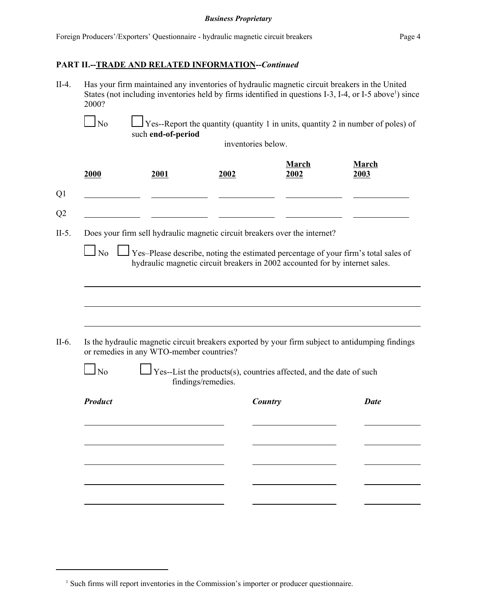# **PART II.--TRADE AND RELATED INFORMATION--***Continued*

- II-4. Has your firm maintained any inventories of hydraulic magnetic circuit breakers in the United States (not including inventories held by firms identified in questions I-3, I-4, or I-5 above<sup>1</sup>) since 2000?
	- $\Box$  No  $\Box$  Yes--Report the quantity (quantity 1 in units, quantity 2 in number of poles) of such **end-of-period**

inventories below.

| 2000           | 2001                                     | 2002                                                                                                                                                               | March<br>2002 | March<br>2003 |
|----------------|------------------------------------------|--------------------------------------------------------------------------------------------------------------------------------------------------------------------|---------------|---------------|
|                |                                          |                                                                                                                                                                    |               |               |
|                |                                          | Does your firm sell hydraulic magnetic circuit breakers over the internet?                                                                                         |               |               |
| $\Box$ No      |                                          | Yes-Please describe, noting the estimated percentage of your firm's total sales of<br>hydraulic magnetic circuit breakers in 2002 accounted for by internet sales. |               |               |
|                |                                          |                                                                                                                                                                    |               |               |
|                |                                          |                                                                                                                                                                    |               |               |
|                |                                          |                                                                                                                                                                    |               |               |
|                | or remedies in any WTO-member countries? | Is the hydraulic magnetic circuit breakers exported by your firm subject to antidumping findings                                                                   |               |               |
| $\Box$ No      |                                          | Yes--List the products(s), countries affected, and the date of such<br>findings/remedies.                                                                          |               |               |
| <b>Product</b> |                                          |                                                                                                                                                                    | Country       | <b>Date</b>   |
|                |                                          |                                                                                                                                                                    |               |               |
|                |                                          |                                                                                                                                                                    |               |               |
|                |                                          |                                                                                                                                                                    |               |               |
|                |                                          |                                                                                                                                                                    |               |               |

<sup>&</sup>lt;sup>1</sup> Such firms will report inventories in the Commission's importer or producer questionnaire.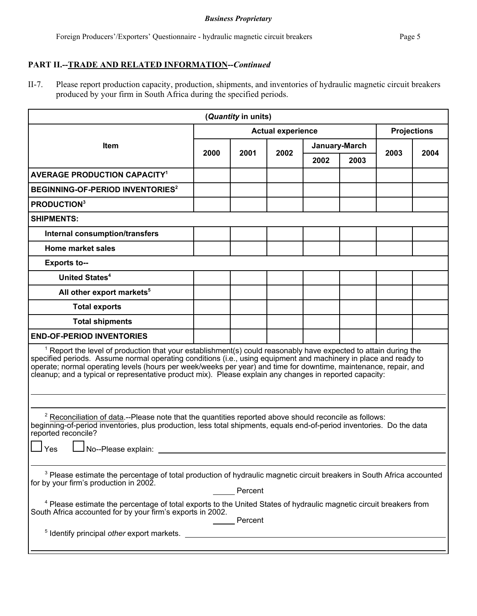#### *Business Proprietary*

# **PART II.--TRADE AND RELATED INFORMATION--***Continued*

II-7. Please report production capacity, production, shipments, and inventories of hydraulic magnetic circuit breakers produced by your firm in South Africa during the specified periods.

| (Quantity in units)                                                                                                                                                                                                                                                                                                                                                                                                                                                  |                          |      |      |               |                    |      |      |
|----------------------------------------------------------------------------------------------------------------------------------------------------------------------------------------------------------------------------------------------------------------------------------------------------------------------------------------------------------------------------------------------------------------------------------------------------------------------|--------------------------|------|------|---------------|--------------------|------|------|
|                                                                                                                                                                                                                                                                                                                                                                                                                                                                      | <b>Actual experience</b> |      |      |               | <b>Projections</b> |      |      |
| <b>Item</b>                                                                                                                                                                                                                                                                                                                                                                                                                                                          | 2000                     | 2001 | 2002 | January-March |                    |      |      |
|                                                                                                                                                                                                                                                                                                                                                                                                                                                                      |                          |      |      | 2002          | 2003               | 2003 | 2004 |
| <b>AVERAGE PRODUCTION CAPACITY<sup>1</sup></b>                                                                                                                                                                                                                                                                                                                                                                                                                       |                          |      |      |               |                    |      |      |
| BEGINNING-OF-PERIOD INVENTORIES <sup>2</sup>                                                                                                                                                                                                                                                                                                                                                                                                                         |                          |      |      |               |                    |      |      |
| <b>PRODUCTION3</b>                                                                                                                                                                                                                                                                                                                                                                                                                                                   |                          |      |      |               |                    |      |      |
| <b>SHIPMENTS:</b>                                                                                                                                                                                                                                                                                                                                                                                                                                                    |                          |      |      |               |                    |      |      |
| <b>Internal consumption/transfers</b>                                                                                                                                                                                                                                                                                                                                                                                                                                |                          |      |      |               |                    |      |      |
| <b>Home market sales</b>                                                                                                                                                                                                                                                                                                                                                                                                                                             |                          |      |      |               |                    |      |      |
| <b>Exports to--</b>                                                                                                                                                                                                                                                                                                                                                                                                                                                  |                          |      |      |               |                    |      |      |
| <b>United States<sup>4</sup></b>                                                                                                                                                                                                                                                                                                                                                                                                                                     |                          |      |      |               |                    |      |      |
| All other export markets <sup>5</sup>                                                                                                                                                                                                                                                                                                                                                                                                                                |                          |      |      |               |                    |      |      |
| <b>Total exports</b>                                                                                                                                                                                                                                                                                                                                                                                                                                                 |                          |      |      |               |                    |      |      |
| <b>Total shipments</b>                                                                                                                                                                                                                                                                                                                                                                                                                                               |                          |      |      |               |                    |      |      |
| <b>END-OF-PERIOD INVENTORIES</b>                                                                                                                                                                                                                                                                                                                                                                                                                                     |                          |      |      |               |                    |      |      |
| $1$ Report the level of production that your establishment(s) could reasonably have expected to attain during the<br>specified periods. Assume normal operating conditions (i.e., using equipment and machinery in place and ready to<br>operate; normal operating levels (hours per week/weeks per year) and time for downtime, maintenance, repair, and<br>cleanup; and a typical or representative product mix). Please explain any changes in reported capacity: |                          |      |      |               |                    |      |      |
|                                                                                                                                                                                                                                                                                                                                                                                                                                                                      |                          |      |      |               |                    |      |      |
| <sup>2</sup> Reconciliation of data --Please note that the quantities reported above should reconcile as follows:<br>beginning-of-period inventories, plus production, less total shipments, equals end-of-period inventories. Do the data<br>reported reconcile?<br>No--Please explain:<br>Yes                                                                                                                                                                      |                          |      |      |               |                    |      |      |
|                                                                                                                                                                                                                                                                                                                                                                                                                                                                      |                          |      |      |               |                    |      |      |
| <sup>3</sup> Please estimate the percentage of total production of hydraulic magnetic circuit breakers in South Africa accounted<br>for by your firm's production in 2002.<br>Percent                                                                                                                                                                                                                                                                                |                          |      |      |               |                    |      |      |
| <sup>4</sup> Please estimate the percentage of total exports to the United States of hydraulic magnetic circuit breakers from<br>South Africa accounted for by your firm's exports in 2002.<br>Percent                                                                                                                                                                                                                                                               |                          |      |      |               |                    |      |      |
| <sup>5</sup> Identify principal other export markets.                                                                                                                                                                                                                                                                                                                                                                                                                |                          |      |      |               |                    |      |      |